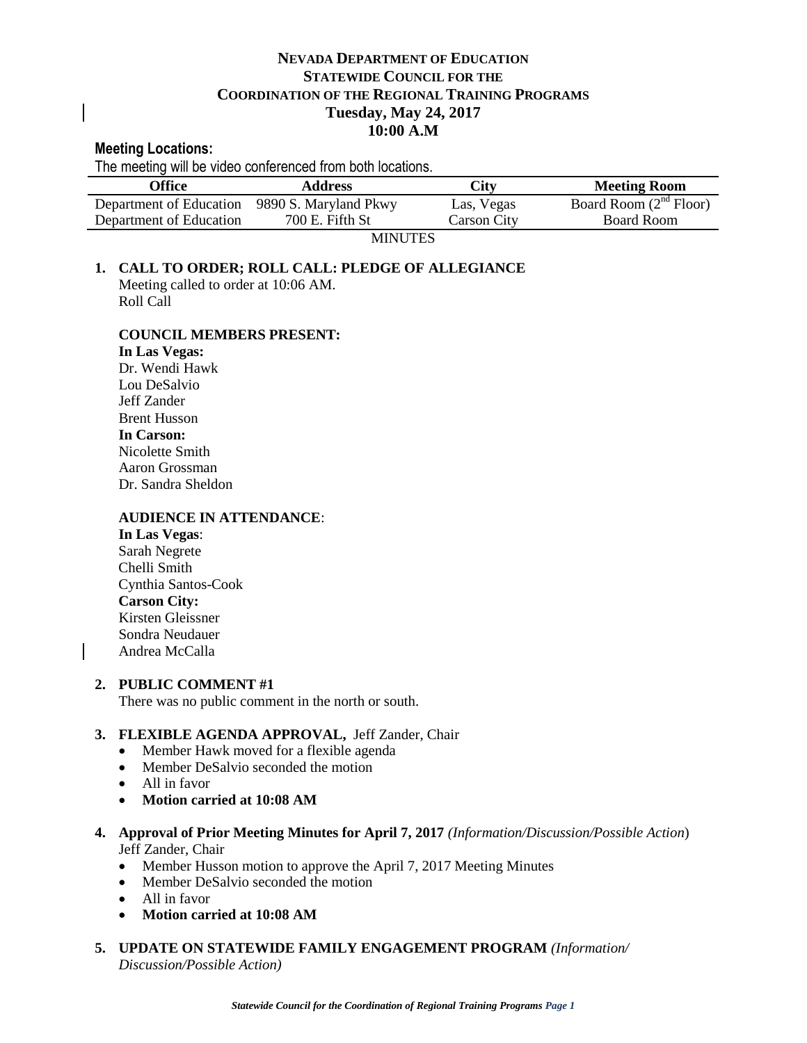# **NEVADA DEPARTMENT OF EDUCATION STATEWIDE COUNCIL FOR THE COORDINATION OF THE REGIONAL TRAINING PROGRAMS Tuesday, May 24, 2017 10:00 A.M**

#### **Meeting Locations:**

The meeting will be video conferenced from both locations.

| Office                  | <b>Address</b>        | City        | <b>Meeting Room</b>         |
|-------------------------|-----------------------|-------------|-----------------------------|
| Department of Education | 9890 S. Maryland Pkwy | Las, Vegas  | Board Room $(2^{nd}$ Floor) |
| Department of Education | $700$ E. Fifth St     | Carson City | Board Room                  |

MINUTES

# **1. CALL TO ORDER; ROLL CALL: PLEDGE OF ALLEGIANCE** Meeting called to order at 10:06 AM.

Roll Call

## **COUNCIL MEMBERS PRESENT:**

**In Las Vegas:**  Dr. Wendi Hawk Lou DeSalvio Jeff Zander Brent Husson **In Carson:**  Nicolette Smith Aaron Grossman Dr. Sandra Sheldon

## **AUDIENCE IN ATTENDANCE**:

**In Las Vegas**: Sarah Negrete Chelli Smith Cynthia Santos-Cook **Carson City:** Kirsten Gleissner Sondra Neudauer Andrea McCalla

## **2. PUBLIC COMMENT #1**

There was no public comment in the north or south.

## **3. FLEXIBLE AGENDA APPROVAL,** Jeff Zander, Chair

- Member Hawk moved for a flexible agenda
- Member DeSalvio seconded the motion
- All in favor
- **Motion carried at 10:08 AM**
- **4. Approval of Prior Meeting Minutes for April 7, 2017** *(Information/Discussion/Possible Action*) Jeff Zander, Chair
	- Member Husson motion to approve the April 7, 2017 Meeting Minutes
	- Member DeSalvio seconded the motion
	- All in favor
	- **Motion carried at 10:08 AM**
- **5. UPDATE ON STATEWIDE FAMILY ENGAGEMENT PROGRAM** *(Information/ Discussion/Possible Action)*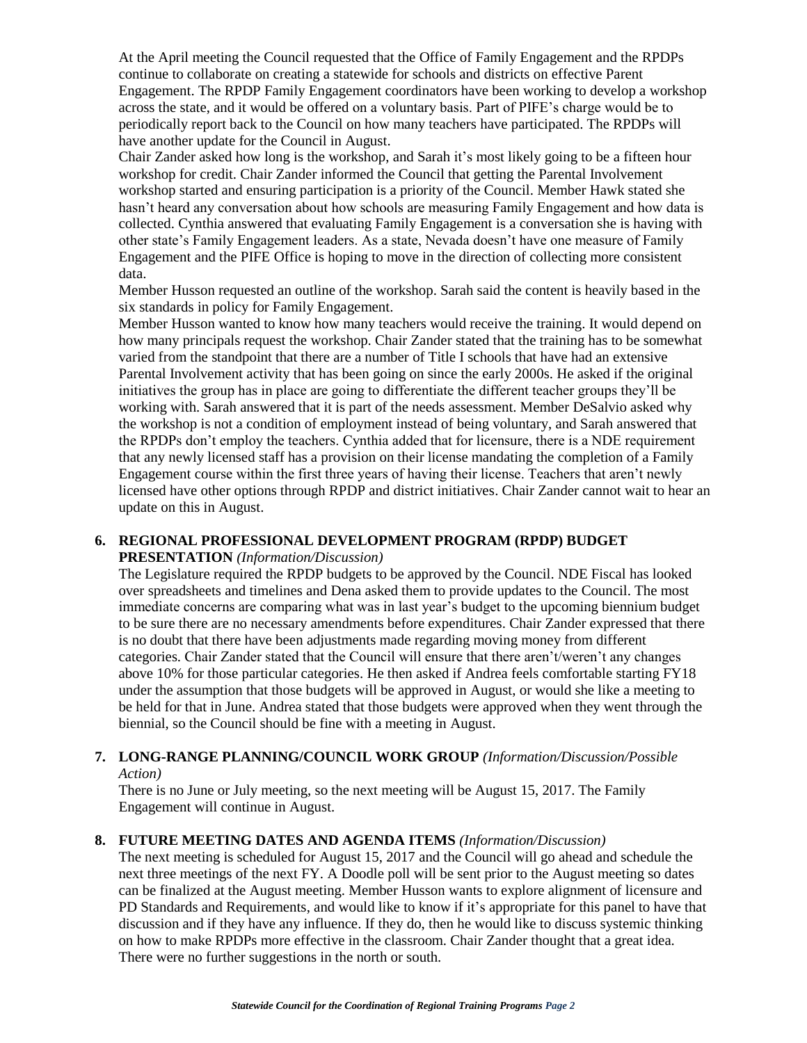At the April meeting the Council requested that the Office of Family Engagement and the RPDPs continue to collaborate on creating a statewide for schools and districts on effective Parent Engagement. The RPDP Family Engagement coordinators have been working to develop a workshop across the state, and it would be offered on a voluntary basis. Part of PIFE's charge would be to periodically report back to the Council on how many teachers have participated. The RPDPs will have another update for the Council in August.

Chair Zander asked how long is the workshop, and Sarah it's most likely going to be a fifteen hour workshop for credit. Chair Zander informed the Council that getting the Parental Involvement workshop started and ensuring participation is a priority of the Council. Member Hawk stated she hasn't heard any conversation about how schools are measuring Family Engagement and how data is collected. Cynthia answered that evaluating Family Engagement is a conversation she is having with other state's Family Engagement leaders. As a state, Nevada doesn't have one measure of Family Engagement and the PIFE Office is hoping to move in the direction of collecting more consistent data.

Member Husson requested an outline of the workshop. Sarah said the content is heavily based in the six standards in policy for Family Engagement.

Member Husson wanted to know how many teachers would receive the training. It would depend on how many principals request the workshop. Chair Zander stated that the training has to be somewhat varied from the standpoint that there are a number of Title I schools that have had an extensive Parental Involvement activity that has been going on since the early 2000s. He asked if the original initiatives the group has in place are going to differentiate the different teacher groups they'll be working with. Sarah answered that it is part of the needs assessment. Member DeSalvio asked why the workshop is not a condition of employment instead of being voluntary, and Sarah answered that the RPDPs don't employ the teachers. Cynthia added that for licensure, there is a NDE requirement that any newly licensed staff has a provision on their license mandating the completion of a Family Engagement course within the first three years of having their license. Teachers that aren't newly licensed have other options through RPDP and district initiatives. Chair Zander cannot wait to hear an update on this in August.

## **6. REGIONAL PROFESSIONAL DEVELOPMENT PROGRAM (RPDP) BUDGET**

## **PRESENTATION** *(Information/Discussion)*

The Legislature required the RPDP budgets to be approved by the Council. NDE Fiscal has looked over spreadsheets and timelines and Dena asked them to provide updates to the Council. The most immediate concerns are comparing what was in last year's budget to the upcoming biennium budget to be sure there are no necessary amendments before expenditures. Chair Zander expressed that there is no doubt that there have been adjustments made regarding moving money from different categories. Chair Zander stated that the Council will ensure that there aren't/weren't any changes above 10% for those particular categories. He then asked if Andrea feels comfortable starting FY18 under the assumption that those budgets will be approved in August, or would she like a meeting to be held for that in June. Andrea stated that those budgets were approved when they went through the biennial, so the Council should be fine with a meeting in August.

#### **7. LONG-RANGE PLANNING/COUNCIL WORK GROUP** *(Information/Discussion/Possible Action)*

There is no June or July meeting, so the next meeting will be August 15, 2017. The Family Engagement will continue in August.

## **8. FUTURE MEETING DATES AND AGENDA ITEMS** *(Information/Discussion)*

The next meeting is scheduled for August 15, 2017 and the Council will go ahead and schedule the next three meetings of the next FY. A Doodle poll will be sent prior to the August meeting so dates can be finalized at the August meeting. Member Husson wants to explore alignment of licensure and PD Standards and Requirements, and would like to know if it's appropriate for this panel to have that discussion and if they have any influence. If they do, then he would like to discuss systemic thinking on how to make RPDPs more effective in the classroom. Chair Zander thought that a great idea. There were no further suggestions in the north or south.